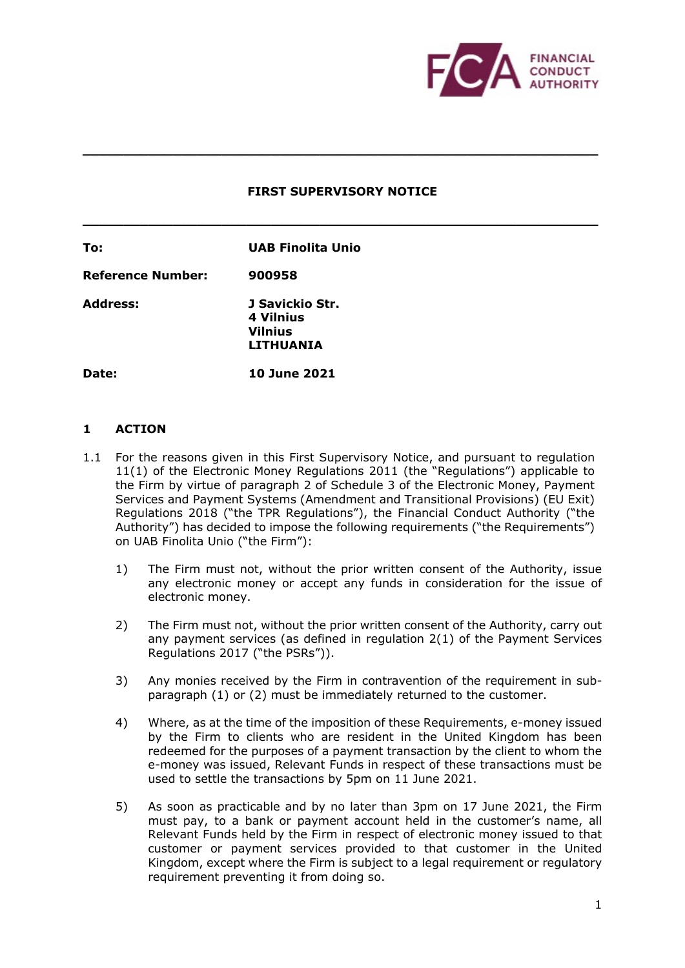

#### **FIRST SUPERVISORY NOTICE**

**\_\_\_\_\_\_\_\_\_\_\_\_\_\_\_\_\_\_\_\_\_\_\_\_\_\_\_\_\_\_\_\_\_\_\_\_\_\_\_\_\_\_\_\_\_\_\_\_\_\_\_\_\_\_\_\_\_\_\_\_\_\_\_** 

**\_\_\_\_\_\_\_\_\_\_\_\_\_\_\_\_\_\_\_\_\_\_\_\_\_\_\_\_\_\_\_\_\_\_\_\_\_\_\_\_\_\_\_\_\_\_\_\_\_\_\_\_\_\_\_\_\_\_\_\_\_\_\_** 

Address: Date: **To: UAB Finolita Unio Reference Number: 900958 Address: J Savickio Str. 4 Vilnius Vilnius LITHUANIA Date: 10 June 2021** 

## **1 ACTION**

- 1.1 For the reasons given in this First Supervisory Notice, and pursuant to regulation 11(1) of the Electronic Money Regulations 2011 (the "Regulations") applicable to the Firm by virtue of paragraph 2 of Schedule 3 of the Electronic Money, Payment Services and Payment Systems (Amendment and Transitional Provisions) (EU Exit) Regulations 2018 ("the TPR Regulations"), the Financial Conduct Authority ("the Authority") has decided to impose the following requirements ("the Requirements") on UAB Finolita Unio ("the Firm"):
	- 1) The Firm must not, without the prior written consent of the Authority, issue any electronic money or accept any funds in consideration for the issue of electronic money.
	- 2) The Firm must not, without the prior written consent of the Authority, carry out any payment services (as defined in regulation 2(1) of the Payment Services Regulations 2017 ("the PSRs")).
	- 3) Any monies received by the Firm in contravention of the requirement in sub-paragraph (1) or (2) must be immediately returned to the customer.
	- 4) Where, as at the time of the imposition of these Requirements, e-money issued by the Firm to clients who are resident in the United Kingdom has been redeemed for the purposes of a payment transaction by the client to whom the e-money was issued, Relevant Funds in respect of these transactions must be used to settle the transactions by 5pm on 11 June 2021.
	- 5) As soon as practicable and by no later than 3pm on 17 June 2021, the Firm must pay, to a bank or payment account held in the customer's name, all Relevant Funds held by the Firm in respect of electronic money issued to that customer or payment services provided to that customer in the United Kingdom, except where the Firm is subject to a legal requirement or regulatory requirement preventing it from doing so.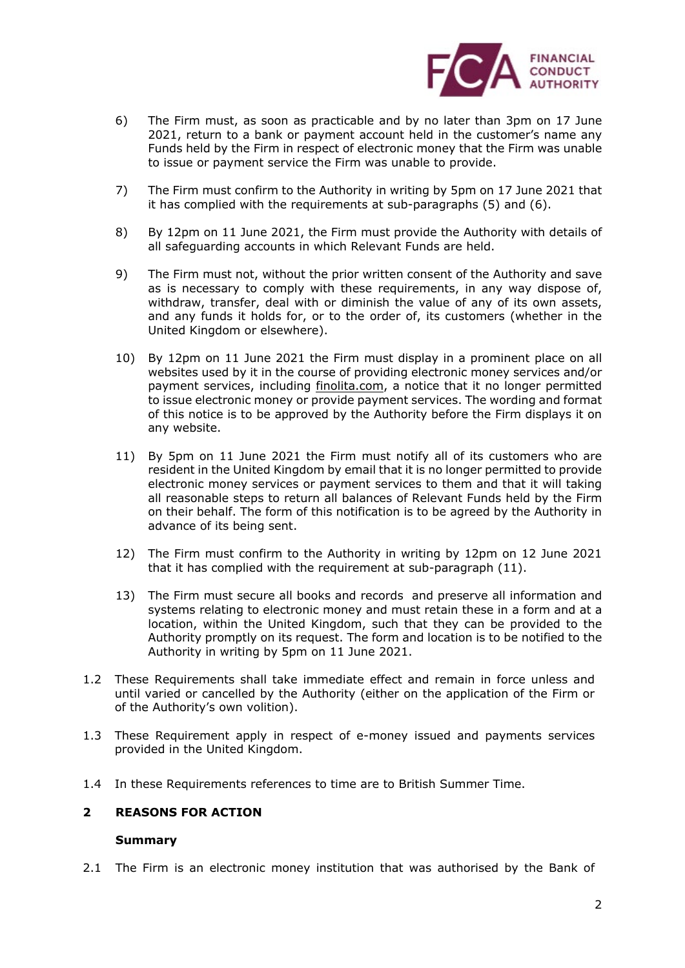

- 6) The Firm must, as soon as practicable and by no later than 3pm on 17 June 2021, return to a bank or payment account held in the customer's name any Funds held by the Firm in respect of electronic money that the Firm was unable to issue or payment service the Firm was unable to provide.
- 7) The Firm must confirm to the Authority in writing by 5pm on 17 June 2021 that it has complied with the requirements at sub-paragraphs (5) and (6).
- 8) By 12pm on 11 June 2021, the Firm must provide the Authority with details of all safeguarding accounts in which Relevant Funds are held.
- 9) The Firm must not, without the prior written consent of the Authority and save as is necessary to comply with these requirements, in any way dispose of, withdraw, transfer, deal with or diminish the value of any of its own assets, and any funds it holds for, or to the order of, its customers (whether in the United Kingdom or elsewhere).
- 10) By 12pm on 11 June 2021 the Firm must display in a prominent place on all websites used by it in the course of providing electronic money services and/or payment services, including <u>[finolita.com](https://finolita.com)</u>, a notice that it no longer permitted to issue electronic money or provide payment services. The wording and format of this notice is to be approved by the Authority before the Firm displays it on any website.
- 11) By 5pm on 11 June 2021 the Firm must notify all of its customers who are resident in the United Kingdom by email that it is no longer permitted to provide electronic money services or payment services to them and that it will taking all reasonable steps to return all balances of Relevant Funds held by the Firm on their behalf. The form of this notification is to be agreed by the Authority in advance of its being sent.
- 12) The Firm must confirm to the Authority in writing by 12pm on 12 June 2021 that it has complied with the requirement at sub-paragraph (11).
- 13) The Firm must secure all books and records and preserve all information and systems relating to electronic money and must retain these in a form and at a Authority promptly on its request. The form and location is to be notified to the Authority in writing by 5pm on 11 June 2021. location, within the United Kingdom, such that they can be provided to the
- 1.2 These Requirements shall take immediate effect and remain in force unless and until varied or cancelled by the Authority (either on the application of the Firm or of the Authority's own volition).
- 1.3 These Requirement apply in respect of e-money issued and payments services provided in the United Kingdom.
- 1.4 In these Requirements references to time are to British Summer Time.

# **2 REASONS FOR ACTION**

## **Summary**

2.1 The Firm is an electronic money institution that was authorised by the Bank of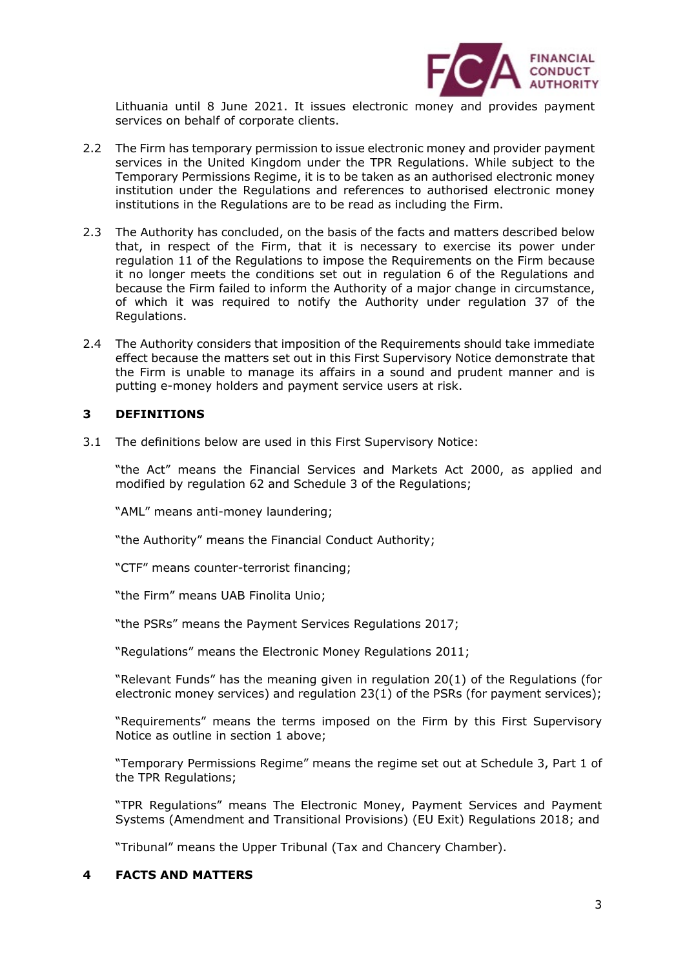

 services on behalf of corporate clients. Lithuania until 8 June 2021. It issues electronic money and provides payment

- 2.2 The Firm has temporary permission to issue electronic money and provider payment services in the United Kingdom under the TPR Regulations. While subject to the Temporary Permissions Regime, it is to be taken as an authorised electronic money institutions in the Regulations are to be read as including the Firm. institution under the Regulations and references to authorised electronic money
- 2.3 The Authority has concluded, on the basis of the facts and matters described below regulation 11 of the Regulations to impose the Requirements on the Firm because it no longer meets the conditions set out in regulation 6 of the Regulations and because the Firm failed to inform the Authority of a major change in circumstance, of which it was required to notify the Authority under regulation 37 of the that, in respect of the Firm, that it is necessary to exercise its power under Regulations.
- 2.4 The Authority considers that imposition of the Requirements should take immediate effect because the matters set out in this First Supervisory Notice demonstrate that putting e-money holders and payment service users at risk. the Firm is unable to manage its affairs in a sound and prudent manner and is

# **3 DEFINITIONS**

3.1 The definitions below are used in this First Supervisory Notice:

 modified by regulation 62 and Schedule 3 of the Regulations; "the Act" means the Financial Services and Markets Act 2000, as applied and

"AML" means anti-money laundering;

"the Authority" means the Financial Conduct Authority;

"CTF" means counter-terrorist financing;

"the Firm" means UAB Finolita Unio;

"the PSRs" means the Payment Services Regulations 2017;

"Regulations" means the Electronic Money Regulations 2011;

 "Relevant Funds" has the meaning given in regulation 20(1) of the Regulations (for electronic money services) and regulation 23(1) of the PSRs (for payment services);

 Notice as outline in section 1 above; "Requirements" means the terms imposed on the Firm by this First Supervisory

 "Temporary Permissions Regime" means the regime set out at Schedule 3, Part 1 of the TPR Regulations;

 "TPR Regulations" means The Electronic Money, Payment Services and Payment Systems (Amendment and Transitional Provisions) (EU Exit) Regulations 2018; and

"Tribunal" means the Upper Tribunal (Tax and Chancery Chamber).

## **4 FACTS AND MATTERS**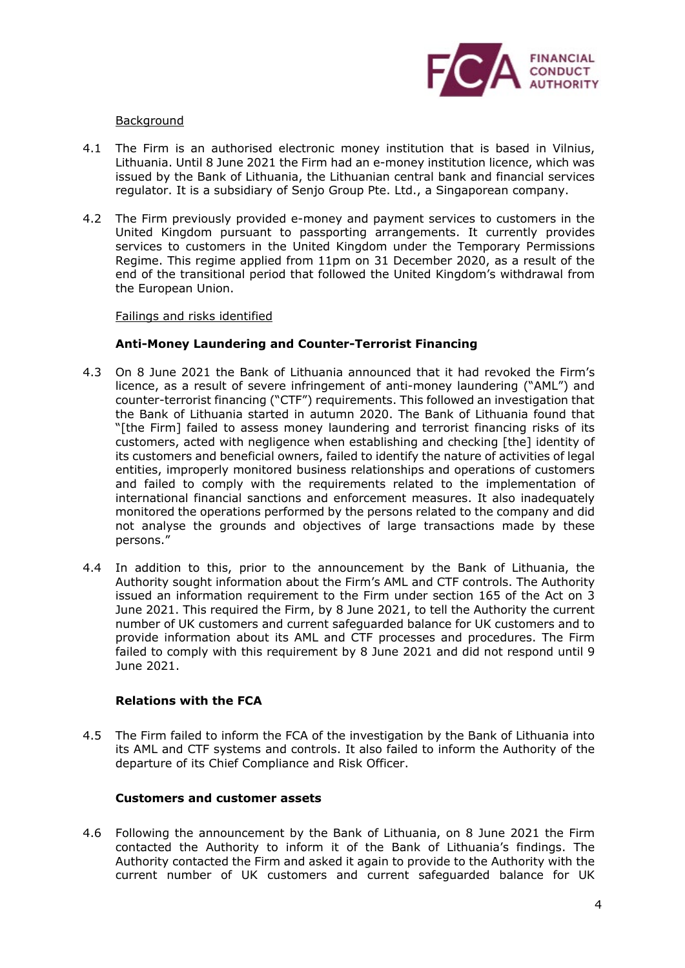

## Background

- Lithuania. Until 8 June 2021 the Firm had an e-money institution licence, which was issued by the Bank of Lithuania, the Lithuanian central bank and financial services regulator. It is a subsidiary of Senjo Group Pte. Ltd., a Singaporean company. 4.1 The Firm is an authorised electronic money institution that is based in Vilnius,
- 4.2 The Firm previously provided e-money and payment services to customers in the United Kingdom pursuant to passporting arrangements. It currently provides Regime. This regime applied from 11pm on 31 December 2020, as a result of the end of the transitional period that followed the United Kingdom's withdrawal from services to customers in the United Kingdom under the Temporary Permissions the European Union.

## Failings and risks identified

# **Anti-Money Laundering and Counter-Terrorist Financing**

- 4.3 On 8 June 2021 the Bank of Lithuania announced that it had revoked the Firm's licence, as a result of severe infringement of anti-money laundering ("AML") and counter-terrorist financing ("CTF") requirements. This followed an investigation that the Bank of Lithuania started in autumn 2020. The Bank of Lithuania found that customers, acted with negligence when establishing and checking [the] identity of its customers and beneficial owners, failed to identify the nature of activities of legal entities, improperly monitored business relationships and operations of customers international financial sanctions and enforcement measures. It also inadequately monitored the operations performed by the persons related to the company and did not analyse the grounds and objectives of large transactions made by these "[the Firm] failed to assess money laundering and terrorist financing risks of its and failed to comply with the requirements related to the implementation of persons."
- Authority sought information about the Firm's AML and CTF controls. The Authority issued an information requirement to the Firm under section 165 of the Act on 3 June 2021. This required the Firm, by 8 June 2021, to tell the Authority the current number of UK customers and current safeguarded balance for UK customers and to provide information about its AML and CTF processes and procedures. The Firm failed to comply with this requirement by 8 June 2021 and did not respond until 9 June 2021. 4.4 In addition to this, prior to the announcement by the Bank of Lithuania, the

## **Relations with the FCA**

 4.5 The Firm failed to inform the FCA of the investigation by the Bank of Lithuania into its AML and CTF systems and controls. It also failed to inform the Authority of the departure of its Chief Compliance and Risk Officer.

## **Customers and customer assets**

 4.6 Following the announcement by the Bank of Lithuania, on 8 June 2021 the Firm Authority contacted the Firm and asked it again to provide to the Authority with the current number of UK customers and current safeguarded balance for UK contacted the Authority to inform it of the Bank of Lithuania's findings. The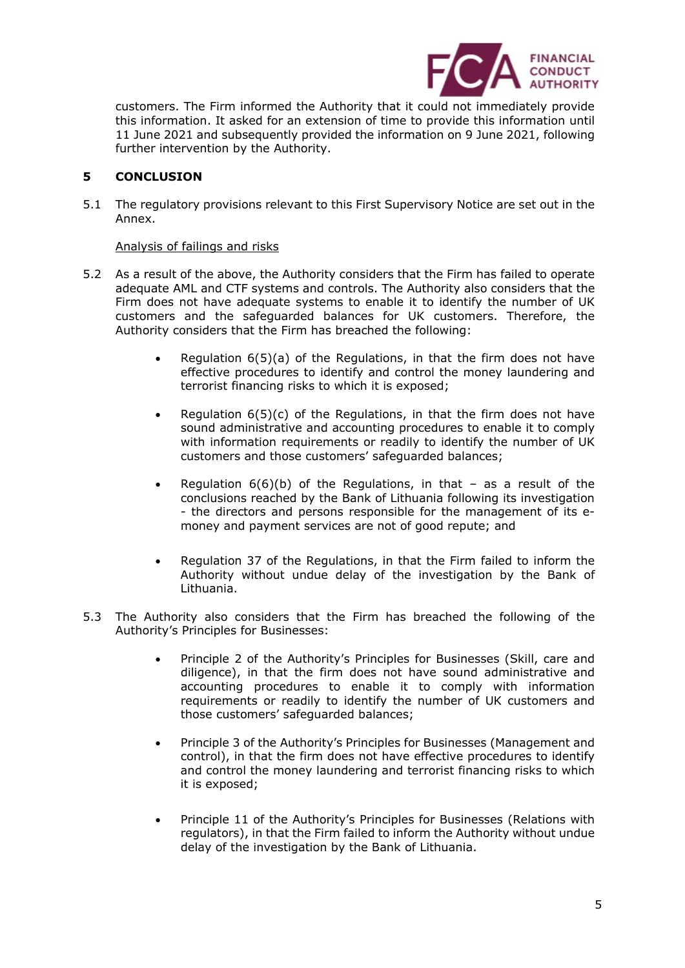

 customers. The Firm informed the Authority that it could not immediately provide this information. It asked for an extension of time to provide this information until 11 June 2021 and subsequently provided the information on 9 June 2021, following further intervention by the Authority.

# **5 CONCLUSION**

 5.1 The regulatory provisions relevant to this First Supervisory Notice are set out in the Annex.

## Analysis of failings and risks

- 5.2 As a result of the above, the Authority considers that the Firm has failed to operate adequate AML and CTF systems and controls. The Authority also considers that the Firm does not have adequate systems to enable it to identify the number of UK customers and the safeguarded balances for UK customers. Therefore, the Authority considers that the Firm has breached the following:
	- • Regulation 6(5)(a) of the Regulations, in that the firm does not have effective procedures to identify and control the money laundering and terrorist financing risks to which it is exposed;
	- • Regulation 6(5)(c) of the Regulations, in that the firm does not have sound administrative and accounting procedures to enable it to comply with information requirements or readily to identify the number of UK customers and those customers' safeguarded balances;
	- conclusions reached by the Bank of Lithuania following its investigation - the directors and persons responsible for the management of its e- money and payment services are not of good repute; and • Regulation 6(6)(b) of the Regulations, in that – as a result of the
	- • Regulation 37 of the Regulations, in that the Firm failed to inform the Authority without undue delay of the investigation by the Bank of Lithuania.
- 5.3 The Authority also considers that the Firm has breached the following of the Authority's Principles for Businesses:
	- • Principle 2 of the Authority's Principles for Businesses (Skill, care and diligence), in that the firm does not have sound administrative and accounting procedures to enable it to comply with information requirements or readily to identify the number of UK customers and those customers' safeguarded balances;
	- • Principle 3 of the Authority's Principles for Businesses (Management and control), in that the firm does not have effective procedures to identify and control the money laundering and terrorist financing risks to which it is exposed;
	- • Principle 11 of the Authority's Principles for Businesses (Relations with regulators), in that the Firm failed to inform the Authority without undue delay of the investigation by the Bank of Lithuania.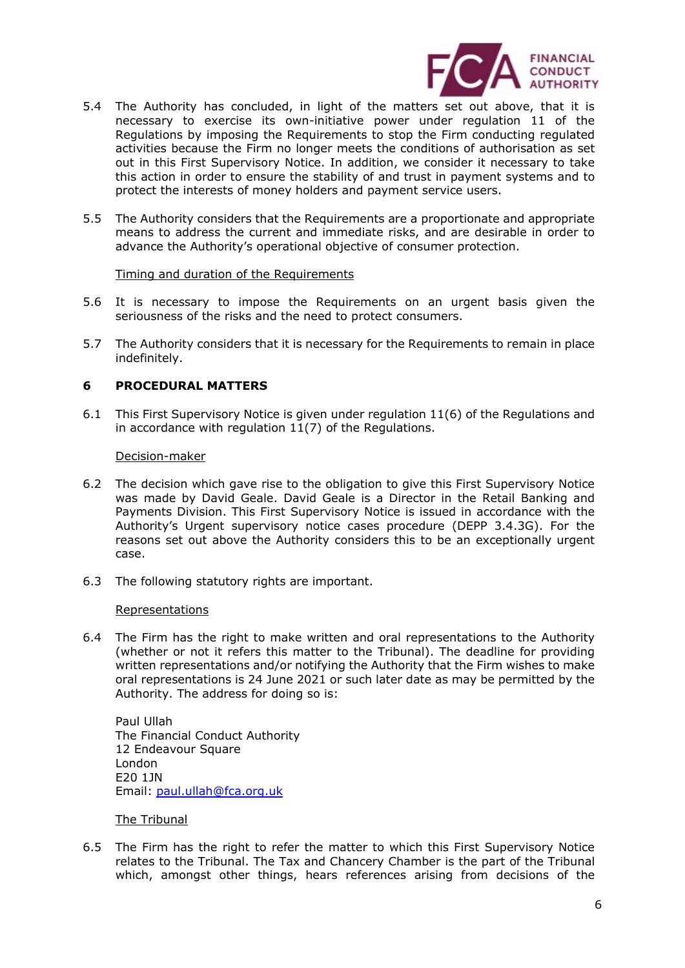

- necessary to exercise its own-initiative power under regulation 11 of the Regulations by imposing the Requirements to stop the Firm conducting regulated activities because the Firm no longer meets the conditions of authorisation as set out in this First Supervisory Notice. In addition, we consider it necessary to take this action in order to ensure the stability of and trust in payment systems and to protect the interests of money holders and payment service users. 5.4 The Authority has concluded, in light of the matters set out above, that it is
- 5.5 The Authority considers that the Requirements are a proportionate and appropriate means to address the current and immediate risks, and are desirable in order to advance the Authority's operational objective of consumer protection.

#### Timing and duration of the Requirements

- 5.6 It is necessary to impose the Requirements on an urgent basis given the seriousness of the risks and the need to protect consumers.
- 5.7 The Authority considers that it is necessary for the Requirements to remain in place indefinitely.

## **6 PROCEDURAL MATTERS**

 6.1 This First Supervisory Notice is given under regulation 11(6) of the Regulations and in accordance with regulation 11(7) of the Regulations.

#### Decision-maker

- 6.2 The decision which gave rise to the obligation to give this First Supervisory Notice was made by David Geale. David Geale is a Director in the Retail Banking and Payments Division. This First Supervisory Notice is issued in accordance with the reasons set out above the Authority considers this to be an exceptionally urgent case. Authority's Urgent supervisory notice cases procedure (DEPP 3.4.3G). For the
- case.<br>6.3 The following statutory rights are important.

#### Representations

 6.4 The Firm has the right to make written and oral representations to the Authority (whether or not it refers this matter to the Tribunal). The deadline for providing written representations and/or notifying the Authority that the Firm wishes to make oral representations is 24 June 2021 or such later date as may be permitted by the Authority. The address for doing so is:

 The Financial Conduct Authority Email: <u>paul.ullah@fca.org.uk</u><br>The Tribunal Paul Ullah 12 Endeavour Square London E20 1JN

 6.5 The Firm has the right to refer the matter to which this First Supervisory Notice relates to the Tribunal. The Tax and Chancery Chamber is the part of the Tribunal which, amongst other things, hears references arising from decisions of the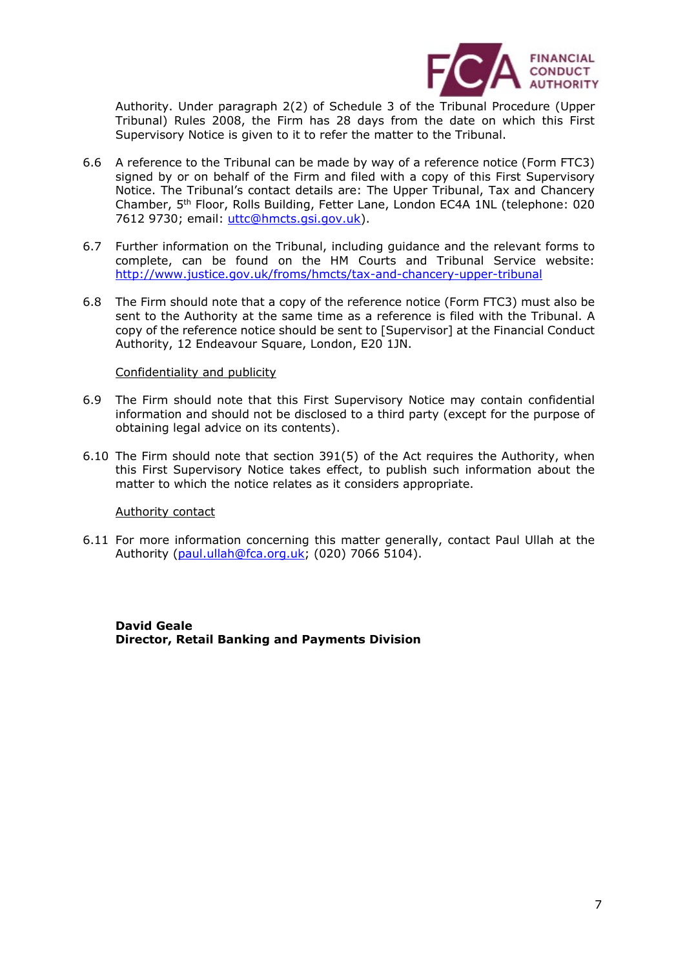

 Authority. Under paragraph 2(2) of Schedule 3 of the Tribunal Procedure (Upper Tribunal) Rules 2008, the Firm has 28 days from the date on which this First Supervisory Notice is given to it to refer the matter to the Tribunal.

- 6.6 A reference to the Tribunal can be made by way of a reference notice (Form FTC3) signed by or on behalf of the Firm and filed with a copy of this First Supervisory Notice. The Tribunal's contact details are: The Upper Tribunal, Tax and Chancery Chamber, 5th Floor, Rolls Building, Fetter Lane, London EC4A 1NL (telephone: 020 7612 9730; email: [uttc@hmcts.gsi.gov.uk\)](mailto:uttc@hmcts.gsi.gov.uk).
- 6.7 Further information on the Tribunal, including guidance and the relevant forms to complete, can be found on the HM Courts and Tribunal Service website: <http://www.justice.gov.uk/froms/hmcts/tax-and-chancery-upper-tribunal>
- 6.8 The Firm should note that a copy of the reference notice (Form FTC3) must also be sent to the Authority at the same time as a reference is filed with the Tribunal. A copy of the reference notice should be sent to [Supervisor] at the Financial Conduct Authority, 12 Endeavour Square, London, E20 1JN.

#### Confidentiality and publicity

- 6.9 The Firm should note that this First Supervisory Notice may contain confidential information and should not be disclosed to a third party (except for the purpose of obtaining legal advice on its contents).
- 6.10 The Firm should note that section 391(5) of the Act requires the Authority, when matter to which the notice relates as it considers appropriate. this First Supervisory Notice takes effect, to publish such information about the

#### Authority contact

 6.11 For more information concerning this matter generally, contact Paul Ullah at the Authority (<u>paul.ullah@fca.org.uk</u>; (020) 7066 5104).

 **Director, Retail Banking and Payments Division David Geale**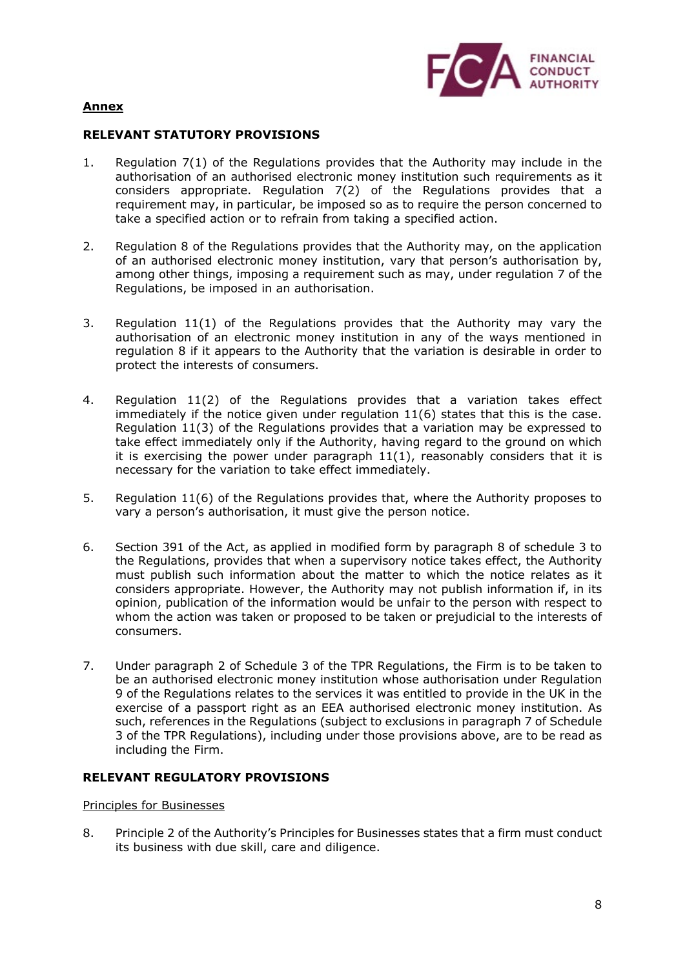

# **Annex**

# **RELEVANT STATUTORY PROVISIONS**

- 1. Regulation 7(1) of the Regulations provides that the Authority may include in the authorisation of an authorised electronic money institution such requirements as it considers appropriate. Regulation 7(2) of the Regulations provides that a requirement may, in particular, be imposed so as to require the person concerned to take a specified action or to refrain from taking a specified action.
- 2. Regulation 8 of the Regulations provides that the Authority may, on the application of an authorised electronic money institution, vary that person's authorisation by, among other things, imposing a requirement such as may, under regulation 7 of the Regulations, be imposed in an authorisation.
- regulation 8 if it appears to the Authority that the variation is desirable in order to protect the interests of consumers. 3. Regulation 11(1) of the Regulations provides that the Authority may vary the authorisation of an electronic money institution in any of the ways mentioned in
- 4. Regulation 11(2) of the Regulations provides that a variation takes effect immediately if the notice given under regulation 11(6) states that this is the case. Regulation 11(3) of the Regulations provides that a variation may be expressed to take effect immediately only if the Authority, having regard to the ground on which it is exercising the power under paragraph 11(1), reasonably considers that it is necessary for the variation to take effect immediately.
- 5. Regulation 11(6) of the Regulations provides that, where the Authority proposes to vary a person's authorisation, it must give the person notice.
- 6. Section 391 of the Act, as applied in modified form by paragraph 8 of schedule 3 to the Regulations, provides that when a supervisory notice takes effect, the Authority considers appropriate. However, the Authority may not publish information if, in its opinion, publication of the information would be unfair to the person with respect to whom the action was taken or proposed to be taken or prejudicial to the interests of consumers. must publish such information about the matter to which the notice relates as it
- consumers. 7. Under paragraph 2 of Schedule 3 of the TPR Regulations, the Firm is to be taken to be an authorised electronic money institution whose authorisation under Regulation 9 of the Regulations relates to the services it was entitled to provide in the UK in the exercise of a passport right as an EEA authorised electronic money institution. As such, references in the Regulations (subject to exclusions in paragraph 7 of Schedule 3 of the TPR Regulations), including under those provisions above, are to be read as including the Firm.

## **RELEVANT REGULATORY PROVISIONS**

## Principles for Businesses

 8. Principle 2 of the Authority's Principles for Businesses states that a firm must conduct its business with due skill, care and diligence.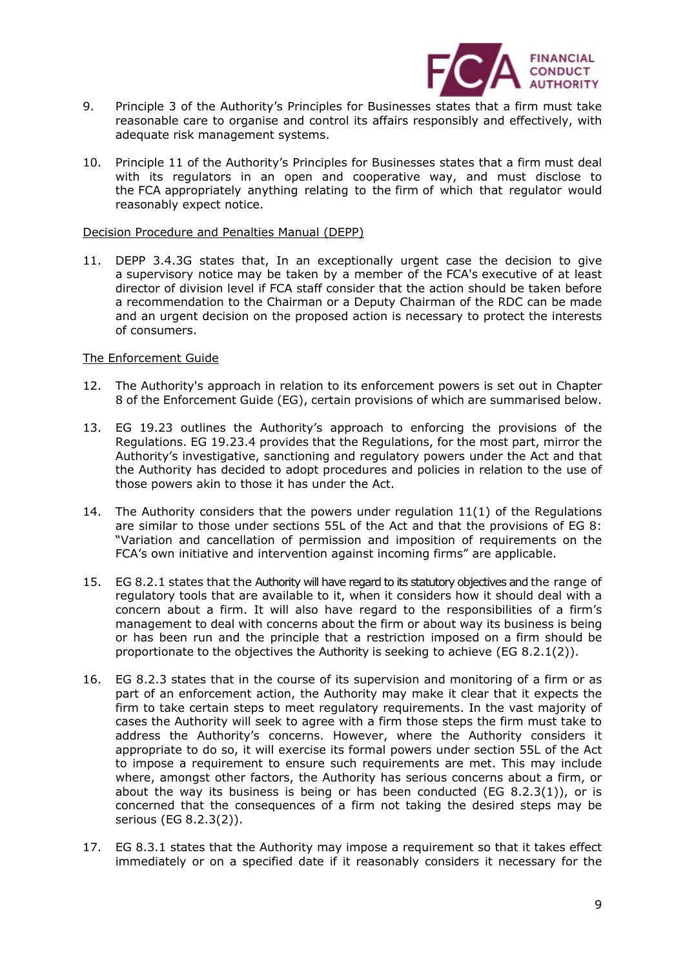

- 9. Principle 3 of the Authority's Principles for Businesses states that a firm must take reasonable care to organise and control its affairs responsibly and effectively, with adequate risk management systems.
- 10. Principle 11 of the Authority's Principles for Businesses states that a firm must deal with its regulators in an open and cooperative way, and must disclose to the [FCA](https://www.handbook.fca.org.uk/handbook/glossary/G2974.html) appropriately anything relating to the [firm](https://www.handbook.fca.org.uk/handbook/glossary/G430.html) of which that regulator would reasonably expect notice.

#### Decision Procedure and Penalties Manual (DEPP)

 11. DEPP 3.4.3G states that, In an exceptionally urgent case the decision to give a [supervisory notice](https://www.handbook.fca.org.uk/handbook/glossary/G1148.html) may be taken by a member of the [FCA's](https://www.handbook.fca.org.uk/handbook/glossary/G2974.html) executive of at least director of division level if FCA staff consider that the action should be taken before a recommendation to the Chairman or a Deputy Chairman of the RDC can be made and an urgent decision on the proposed action is necessary to protect the interests of consumers.

#### The Enforcement Guide

- 12. The Authority's approach in relation to its enforcement powers is set out in Chapter 8 of the Enforcement Guide (EG), certain provisions of which are summarised below.
- 13. EG 19.23 outlines the Authority's approach to enforcing the provisions of the Regulations. EG 19.23.4 provides that the Regulations, for the most part, mirror the Authority's investigative, sanctioning and regulatory powers under the Act and that the Authority has decided to adopt procedures and policies in relation to the use of those powers akin to those it has under the Act.
- 14. The Authority considers that the powers under regulation 11(1) of the Regulations are similar to those under sections 55L of the Act and that the provisions of EG 8: "Variation and cancellation of permission and imposition of requirements on the FCA's own initiative and intervention against incoming firms" are applicable.
- 15. EG 8.2.1 states that the Authority will have regard to its statutory objectives and the range of regulatory tools that are available to it, when it considers how it should deal with a concern about a firm. It will also have regard to the responsibilities of a firm's management to deal with concerns about the firm or about way its business is being or has been run and the principle that a restriction imposed on a firm should be proportionate to the objectives the Authority is seeking to achieve (EG 8.2.1(2)).
- 16. EG 8.2.3 states that in the course of its supervision and monitoring of a firm or as part of an enforcement action, the Authority may make it clear that it expects the firm to take certain steps to meet regulatory requirements. In the vast majority of cases the Authority will seek to agree with a firm those steps the firm must take to address the Authority's concerns. However, where the Authority considers it appropriate to do so, it will exercise its formal powers under section 55L of the Act to impose a requirement to ensure such requirements are met. This may include where, amongst other factors, the Authority has serious concerns about a firm, or about the way its business is being or has been conducted (EG 8.2.3(1)), or is serious (EG 8.2.3(2)). concerned that the consequences of a firm not taking the desired steps may be
- 17. EG 8.3.1 states that the Authority may impose a requirement so that it takes effect immediately or on a specified date if it reasonably considers it necessary for the